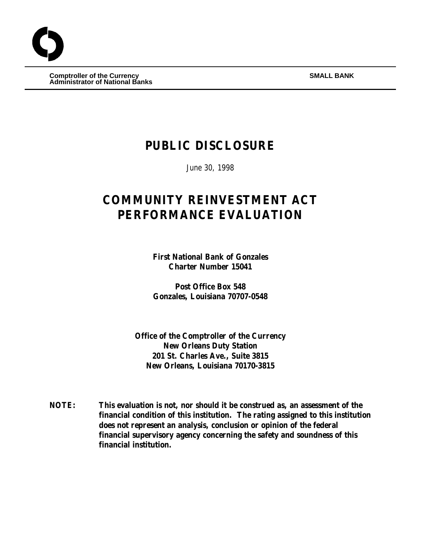$\begin{array}{ccc} \textbf{Comptroller of the Currency} \end{array}$ **Administrator of National Banks**

# **PUBLIC DISCLOSURE**

June 30, 1998

# **COMMUNITY REINVESTMENT ACT PERFORMANCE EVALUATION**

**First National Bank of Gonzales Charter Number 15041**

**Post Office Box 548 Gonzales, Louisiana 70707-0548**

**Office of the Comptroller of the Currency New Orleans Duty Station 201 St. Charles Ave., Suite 3815 New Orleans, Louisiana 70170-3815**

**NOTE: This evaluation is not, nor should it be construed as, an assessment of the financial condition of this institution. The rating assigned to this institution does not represent an analysis, conclusion or opinion of the federal financial supervisory agency concerning the safety and soundness of this financial institution.**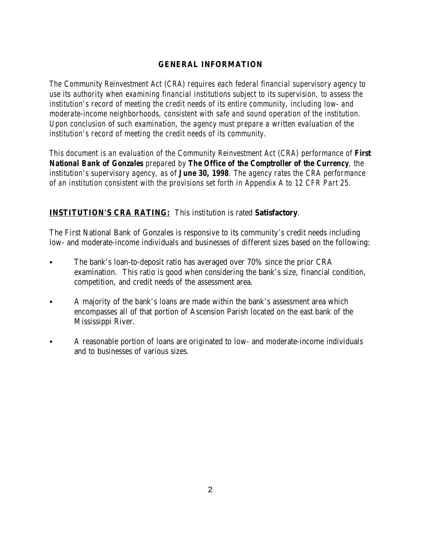## **GENERAL INFORMATION**

*The Community Reinvestment Act (CRA) requires each federal financial supervisory agency to use its authority when examining financial institutions subject to its supervision, to assess the institution's record of meeting the credit needs of its entire community, including low- and moderate-income neighborhoods, consistent with safe and sound operation of the institution. Upon conclusion of such examination, the agency must prepare a written evaluation of the institution's record of meeting the credit needs of its community.* 

*This document is an evaluation of the Community Reinvestment Act (CRA) performance of First National Bank of Gonzales prepared by The Office of the Comptroller of the Currency, the institution's supervisory agency, as of June 30, 1998. The agency rates the CRA performance of an institution consistent with the provisions set forth in Appendix A to 12 CFR Part 25.*

## **INSTITUTION'S CRA RATING:** This institution is rated **Satisfactory**.

The First National Bank of Gonzales is responsive to its community's credit needs including low- and moderate-income individuals and businesses of different sizes based on the following:

- The bank's loan-to-deposit ratio has averaged over 70% since the prior CRA examination. This ratio is good when considering the bank's size, financial condition, competition, and credit needs of the assessment area.
- A majority of the bank's loans are made within the bank's assessment area which encompasses all of that portion of Ascension Parish located on the east bank of the Mississippi River.
- A reasonable portion of loans are originated to low- and moderate-income individuals and to businesses of various sizes.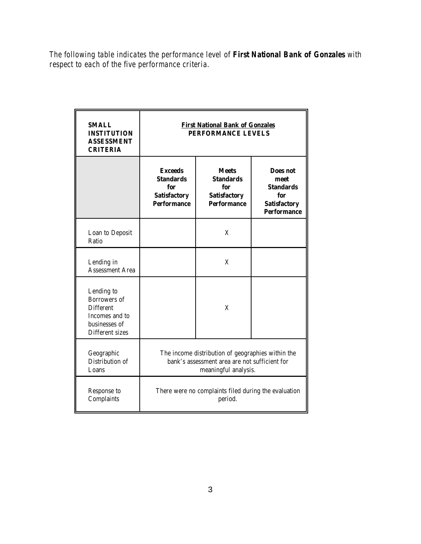*The following table indicates the performance level of First National Bank of Gonzales with respect to each of the five performance criteria.*

| <b>SMALL</b><br><b>INSTITUTION</b><br><b>ASSESSMENT</b><br><b>CRITERIA</b>                           | <b>First National Bank of Gonzales</b><br>PERFORMANCE LEVELS                                                               |                                                                                      |                                                                                          |  |
|------------------------------------------------------------------------------------------------------|----------------------------------------------------------------------------------------------------------------------------|--------------------------------------------------------------------------------------|------------------------------------------------------------------------------------------|--|
|                                                                                                      | <b>Exceeds</b><br><b>Standards</b><br>for<br><b>Satisfactory</b><br><b>Performance</b>                                     | <b>Meets</b><br><b>Standards</b><br>for<br><b>Satisfactory</b><br><b>Performance</b> | Does not<br>meet<br><b>Standards</b><br>for<br><b>Satisfactory</b><br><b>Performance</b> |  |
| Loan to Deposit<br>Ratio                                                                             |                                                                                                                            | X                                                                                    |                                                                                          |  |
| Lending in<br><b>Assessment Area</b>                                                                 |                                                                                                                            | X                                                                                    |                                                                                          |  |
| Lending to<br>Borrowers of<br><b>Different</b><br>Incomes and to<br>businesses of<br>Different sizes |                                                                                                                            | X                                                                                    |                                                                                          |  |
| Geographic<br>Distribution of<br>Loans                                                               | The income distribution of geographies within the<br>bank's assessment area are not sufficient for<br>meaningful analysis. |                                                                                      |                                                                                          |  |
| Response to<br>Complaints                                                                            | There were no complaints filed during the evaluation<br>period.                                                            |                                                                                      |                                                                                          |  |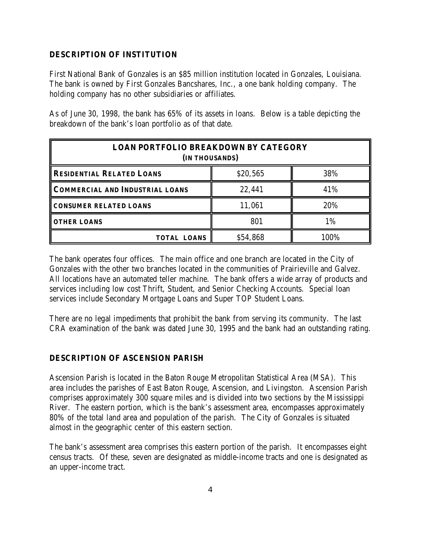## **DESCRIPTION OF INSTITUTION**

First National Bank of Gonzales is an \$85 million institution located in Gonzales, Louisiana. The bank is owned by First Gonzales Bancshares, Inc., a one bank holding company. The holding company has no other subsidiaries or affiliates.

As of June 30, 1998, the bank has 65% of its assets in loans. Below is a table depicting the breakdown of the bank's loan portfolio as of that date.

| <b>LOAN PORTFOLIO BREAKDOWN BY CATEGORY</b><br>(IN THOUSANDS) |          |      |  |  |  |  |
|---------------------------------------------------------------|----------|------|--|--|--|--|
| <b>RESIDENTIAL RELATED LOANS</b>                              | \$20,565 | 38%  |  |  |  |  |
| <b>COMMERCIAL AND INDUSTRIAL LOANS</b>                        | 22,441   | 41%  |  |  |  |  |
| <b>CONSUMER RELATED LOANS</b>                                 | 11,061   | 20%  |  |  |  |  |
| <b>OTHER LOANS</b>                                            | 801      | 1%   |  |  |  |  |
| <b>TOTAL LOANS</b>                                            | \$54,868 | 100% |  |  |  |  |

The bank operates four offices. The main office and one branch are located in the City of Gonzales with the other two branches located in the communities of Prairieville and Galvez. All locations have an automated teller machine. The bank offers a wide array of products and services including low cost Thrift, Student, and Senior Checking Accounts. Special loan services include Secondary Mortgage Loans and Super TOP Student Loans.

There are no legal impediments that prohibit the bank from serving its community. The last CRA examination of the bank was dated June 30, 1995 and the bank had an outstanding rating.

### **DESCRIPTION OF ASCENSION PARISH**

Ascension Parish is located in the Baton Rouge Metropolitan Statistical Area (MSA). This area includes the parishes of East Baton Rouge, Ascension, and Livingston. Ascension Parish comprises approximately 300 square miles and is divided into two sections by the Mississippi River. The eastern portion, which is the bank's assessment area, encompasses approximately 80% of the total land area and population of the parish. The City of Gonzales is situated almost in the geographic center of this eastern section.

The bank's assessment area comprises this eastern portion of the parish. It encompasses eight census tracts. Of these, seven are designated as middle-income tracts and one is designated as an upper-income tract.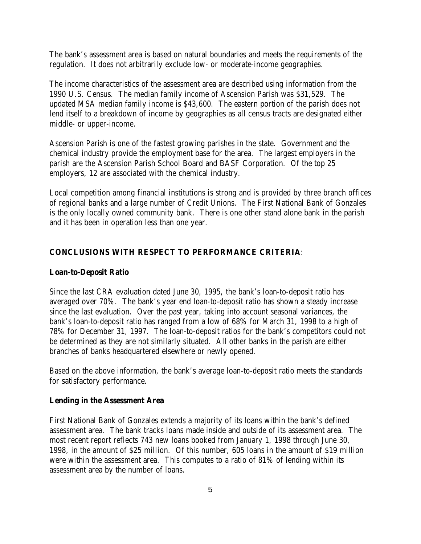The bank's assessment area is based on natural boundaries and meets the requirements of the regulation. It does not arbitrarily exclude low- or moderate-income geographies.

The income characteristics of the assessment area are described using information from the 1990 U.S. Census. The median family income of Ascension Parish was \$31,529. The updated MSA median family income is \$43,600. The eastern portion of the parish does not lend itself to a breakdown of income by geographies as all census tracts are designated either middle- or upper-income.

Ascension Parish is one of the fastest growing parishes in the state. Government and the chemical industry provide the employment base for the area. The largest employers in the parish are the Ascension Parish School Board and BASF Corporation. Of the top 25 employers, 12 are associated with the chemical industry.

Local competition among financial institutions is strong and is provided by three branch offices of regional banks and a large number of Credit Unions. The First National Bank of Gonzales is the only locally owned community bank. There is one other stand alone bank in the parish and it has been in operation less than one year.

### **CONCLUSIONS WITH RESPECT TO PERFORMANCE CRITERIA**:

#### **Loan-to-Deposit Ratio**

Since the last CRA evaluation dated June 30, 1995, the bank's loan-to-deposit ratio has averaged over 70%. The bank's year end loan-to-deposit ratio has shown a steady increase since the last evaluation. Over the past year, taking into account seasonal variances, the bank's loan-to-deposit ratio has ranged from a low of 68% for March 31, 1998 to a high of 78% for December 31, 1997. The loan-to-deposit ratios for the bank's competitors could not be determined as they are not similarly situated. All other banks in the parish are either branches of banks headquartered elsewhere or newly opened.

Based on the above information, the bank's average loan-to-deposit ratio meets the standards for satisfactory performance.

#### **Lending in the Assessment Area**

First National Bank of Gonzales extends a majority of its loans within the bank's defined assessment area. The bank tracks loans made inside and outside of its assessment area. The most recent report reflects 743 new loans booked from January 1, 1998 through June 30, 1998, in the amount of \$25 million. Of this number, 605 loans in the amount of \$19 million were within the assessment area. This computes to a ratio of 81% of lending within its assessment area by the number of loans.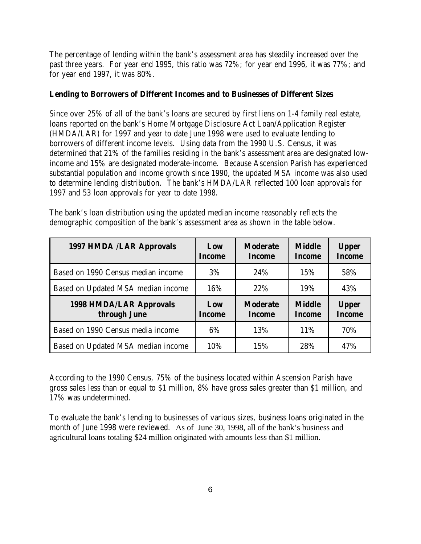The percentage of lending within the bank's assessment area has steadily increased over the past three years. For year end 1995, this ratio was 72%; for year end 1996, it was 77%; and for year end 1997, it was 80%.

## **Lending to Borrowers of Different Incomes and to Businesses of Different Sizes**

Since over 25% of all of the bank's loans are secured by first liens on 1-4 family real estate, loans reported on the bank's Home Mortgage Disclosure Act Loan/Application Register (HMDA/LAR) for 1997 and year to date June 1998 were used to evaluate lending to borrowers of different income levels. Using data from the 1990 U.S. Census, it was determined that 21% of the families residing in the bank's assessment area are designated lowincome and 15% are designated moderate-income. Because Ascension Parish has experienced substantial population and income growth since 1990, the updated MSA income was also used to determine lending distribution. The bank's HMDA/LAR reflected 100 loan approvals for 1997 and 53 loan approvals for year to date 1998.

| The bank's loan distribution using the updated median income reasonably reflects the |  |
|--------------------------------------------------------------------------------------|--|
| demographic composition of the bank's assessment area as shown in the table below.   |  |

| 1997 HMDA /LAR Approvals                       | Low<br><b>Income</b> | <b>Moderate</b><br><b>Income</b> | <b>Middle</b><br><b>Income</b> | <b>Upper</b><br><b>Income</b> |
|------------------------------------------------|----------------------|----------------------------------|--------------------------------|-------------------------------|
| Based on 1990 Census median income             | 3%                   | 24%                              | 15%                            | 58%                           |
| Based on Updated MSA median income             | 16%                  | 22%                              | 19%                            | 43%                           |
|                                                |                      |                                  |                                |                               |
| <b>1998 HMDA/LAR Approvals</b><br>through June | Low<br><b>Income</b> | <b>Moderate</b><br><b>Income</b> | <b>Middle</b><br><b>Income</b> | <b>Upper</b><br><b>Income</b> |
| Based on 1990 Census media income              | 6%                   | 13%                              | 11%                            | 70%                           |

According to the 1990 Census, 75% of the business located within Ascension Parish have gross sales less than or equal to \$1 million, 8% have gross sales greater than \$1 million, and 17% was undetermined.

To evaluate the bank's lending to businesses of various sizes, business loans originated in the month of June 1998 were reviewed. As of June 30, 1998, all of the bank's business and agricultural loans totaling \$24 million originated with amounts less than \$1 million.